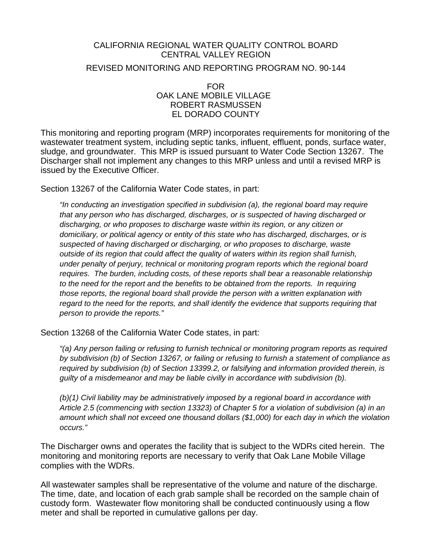#### CALIFORNIA REGIONAL WATER QUALITY CONTROL BOARD CENTRAL VALLEY REGION

REVISED MONITORING AND REPORTING PROGRAM NO. 90-144

FOR OAK LANE MOBILE VILLAGE ROBERT RASMUSSEN EL DORADO COUNTY

This monitoring and reporting program (MRP) incorporates requirements for monitoring of the wastewater treatment system, including septic tanks, influent, effluent, ponds, surface water, sludge, and groundwater. This MRP is issued pursuant to Water Code Section 13267. The Discharger shall not implement any changes to this MRP unless and until a revised MRP is issued by the Executive Officer.

Section 13267 of the California Water Code states, in part:

*"In conducting an investigation specified in subdivision (a), the regional board may require that any person who has discharged, discharges, or is suspected of having discharged or discharging, or who proposes to discharge waste within its region, or any citizen or domiciliary, or political agency or entity of this state who has discharged, discharges, or is suspected of having discharged or discharging, or who proposes to discharge, waste outside of its region that could affect the quality of waters within its region shall furnish, under penalty of perjury, technical or monitoring program reports which the regional board*  requires. The burden, including costs, of these reports shall bear a reasonable relationship *to the need for the report and the benefits to be obtained from the reports. In requiring those reports, the regional board shall provide the person with a written explanation with regard to the need for the reports, and shall identify the evidence that supports requiring that person to provide the reports."* 

Section 13268 of the California Water Code states, in part:

*"(a) Any person failing or refusing to furnish technical or monitoring program reports as required by subdivision (b) of Section 13267, or failing or refusing to furnish a statement of compliance as required by subdivision (b) of Section 13399.2, or falsifying and information provided therein, is guilty of a misdemeanor and may be liable civilly in accordance with subdivision (b).* 

*(b)(1) Civil liability may be administratively imposed by a regional board in accordance with Article 2.5 (commencing with section 13323) of Chapter 5 for a violation of subdivision (a) in an amount which shall not exceed one thousand dollars (\$1,000) for each day in which the violation occurs."* 

The Discharger owns and operates the facility that is subject to the WDRs cited herein. The monitoring and monitoring reports are necessary to verify that Oak Lane Mobile Village complies with the WDRs.

All wastewater samples shall be representative of the volume and nature of the discharge. The time, date, and location of each grab sample shall be recorded on the sample chain of custody form. Wastewater flow monitoring shall be conducted continuously using a flow meter and shall be reported in cumulative gallons per day.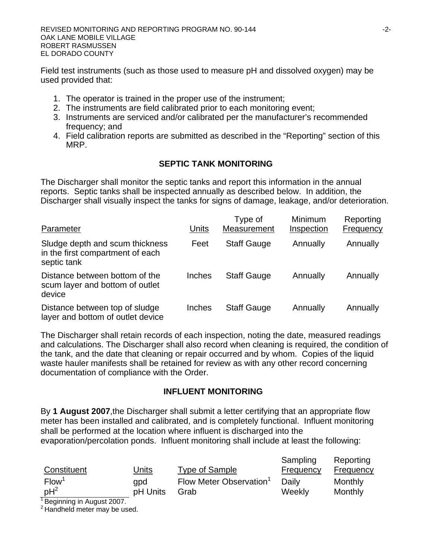REVISED MONITORING AND REPORTING PROGRAM NO. 90-144 OAK LANE MOBILE VILLAGE ROBERT RASMUSSEN EL DORADO COUNTY

Field test instruments (such as those used to measure pH and dissolved oxygen) may be used provided that:

- 1. The operator is trained in the proper use of the instrument;
- 2. The instruments are field calibrated prior to each monitoring event;
- 3. Instruments are serviced and/or calibrated per the manufacturer's recommended frequency; and
- 4. Field calibration reports are submitted as described in the "Reporting" section of this MRP.

### **SEPTIC TANK MONITORING**

The Discharger shall monitor the septic tanks and report this information in the annual reports. Septic tanks shall be inspected annually as described below. In addition, the Discharger shall visually inspect the tanks for signs of damage, leakage, and/or deterioration.

| Parameter                                                                          | Units  | Type of<br>Measurement | <b>Minimum</b><br>Inspection | Reporting<br>Frequency |
|------------------------------------------------------------------------------------|--------|------------------------|------------------------------|------------------------|
| Sludge depth and scum thickness<br>in the first compartment of each<br>septic tank | Feet   | <b>Staff Gauge</b>     | Annually                     | Annually               |
| Distance between bottom of the<br>scum layer and bottom of outlet<br>device        | Inches | <b>Staff Gauge</b>     | Annually                     | Annually               |
| Distance between top of sludge<br>layer and bottom of outlet device                | Inches | <b>Staff Gauge</b>     | Annually                     | Annually               |

The Discharger shall retain records of each inspection, noting the date, measured readings and calculations. The Discharger shall also record when cleaning is required, the condition of the tank, and the date that cleaning or repair occurred and by whom. Copies of the liquid waste hauler manifests shall be retained for review as with any other record concerning documentation of compliance with the Order.

#### **INFLUENT MONITORING**

By **1 August 2007**,the Discharger shall submit a letter certifying that an appropriate flow meter has been installed and calibrated, and is completely functional. Influent monitoring shall be performed at the location where influent is discharged into the evaporation/percolation ponds. Influent monitoring shall include at least the following:

| Constituent       | Units    | <b>Type of Sample</b>  | Sampling<br>Frequency | Reporting<br><b>Frequency</b> |
|-------------------|----------|------------------------|-----------------------|-------------------------------|
|                   |          |                        |                       |                               |
| Flow <sup>1</sup> | apd      | Flow Meter Observation | Daily                 | Monthly                       |
| $pH^2$            | pH Units | Grab                   | Weekly                | Monthly                       |

<sup>1</sup> Beginning in August 2007.

<sup>2</sup> Handheld meter may be used.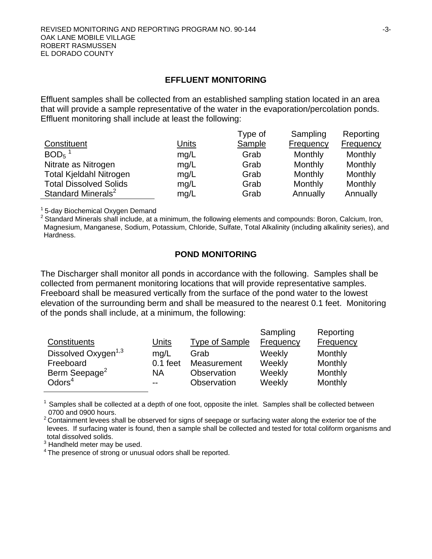#### **EFFLUENT MONITORING**

Effluent samples shall be collected from an established sampling station located in an area that will provide a sample representative of the water in the evaporation/percolation ponds. Effluent monitoring shall include at least the following:

|                                |              | Type of       | Sampling         | Reporting        |
|--------------------------------|--------------|---------------|------------------|------------------|
| Constituent                    | <b>Units</b> | <b>Sample</b> | <b>Frequency</b> | <b>Frequency</b> |
| $BOD5$ <sup>1</sup>            | mq/L         | Grab          | Monthly          | Monthly          |
| Nitrate as Nitrogen            | mg/L         | Grab          | Monthly          | Monthly          |
| <b>Total Kjeldahl Nitrogen</b> | mg/L         | Grab          | Monthly          | Monthly          |
| <b>Total Dissolved Solids</b>  | mg/L         | Grab          | Monthly          | Monthly          |
| Standard Minerals <sup>2</sup> | mg/L         | Grab          | Annually         | Annually         |

<sup>1</sup> 5-day Biochemical Oxygen Demand

<sup>2</sup> Standard Minerals shall include, at a minimum, the following elements and compounds: Boron, Calcium, Iron, Magnesium, Manganese, Sodium, Potassium, Chloride, Sulfate, Total Alkalinity (including alkalinity series), and Hardness.

#### **POND MONITORING**

The Discharger shall monitor all ponds in accordance with the following. Samples shall be collected from permanent monitoring locations that will provide representative samples. Freeboard shall be measured vertically from the surface of the pond water to the lowest elevation of the surrounding berm and shall be measured to the nearest 0.1 feet. Monitoring of the ponds shall include, at a minimum, the following:

| Constituents                    | Units      | Type of Sample | Sampling<br>Frequency | Reporting<br><b>Frequency</b> |
|---------------------------------|------------|----------------|-----------------------|-------------------------------|
| Dissolved Oxygen <sup>1,3</sup> | mq/L       | Grab           | Weekly                | Monthly                       |
| Freeboard                       | $0.1$ feet | Measurement    | Weekly                | Monthly                       |
| Berm Seepage <sup>2</sup>       | <b>NA</b>  | Observation    | Weekly                | Monthly                       |
| Odors <sup>4</sup>              | $- -$      | Observation    | Weekly                | Monthly                       |

 $1$  Samples shall be collected at a depth of one foot, opposite the inlet. Samples shall be collected between 0700 and 0900 hours.

<sup>2</sup> Containment levees shall be observed for signs of seepage or surfacing water along the exterior toe of the levees. If surfacing water is found, then a sample shall be collected and tested for total coliform organisms and total dissolved solids.

 $3$  Handheld meter may be used.

٦

<sup>4</sup> The presence of strong or unusual odors shall be reported.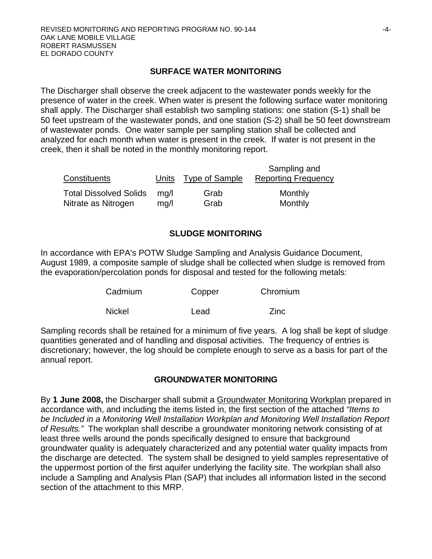### **SURFACE WATER MONITORING**

The Discharger shall observe the creek adjacent to the wastewater ponds weekly for the presence of water in the creek. When water is present the following surface water monitoring shall apply. The Discharger shall establish two sampling stations: one station (S-1) shall be 50 feet upstream of the wastewater ponds, and one station (S-2) shall be 50 feet downstream of wastewater ponds. One water sample per sampling station shall be collected and analyzed for each month when water is present in the creek. If water is not present in the creek, then it shall be noted in the monthly monitoring report.

| Constituents                  |      | Units Type of Sample | Sampling and<br><b>Reporting Frequency</b> |
|-------------------------------|------|----------------------|--------------------------------------------|
| <b>Total Dissolved Solids</b> | ma/l | Grab                 | Monthly                                    |
| Nitrate as Nitrogen           | mq/l | Grab                 | Monthly                                    |

## **SLUDGE MONITORING**

In accordance with EPA's POTW Sludge Sampling and Analysis Guidance Document, August 1989, a composite sample of sludge shall be collected when sludge is removed from the evaporation/percolation ponds for disposal and tested for the following metals:

| Cadmium       | Copper | Chromium |
|---------------|--------|----------|
| <b>Nickel</b> | Lead   | Zinc     |

Sampling records shall be retained for a minimum of five years. A log shall be kept of sludge quantities generated and of handling and disposal activities. The frequency of entries is discretionary; however, the log should be complete enough to serve as a basis for part of the annual report.

### **GROUNDWATER MONITORING**

By **1 June 2008,** the Discharger shall submit a Groundwater Monitoring Workplan prepared in accordance with, and including the items listed in, the first section of the attached *"Items to be Included in a Monitoring Well Installation Workplan and Monitoring Well Installation Report of Results."* The workplan shall describe a groundwater monitoring network consisting of at least three wells around the ponds specifically designed to ensure that background groundwater quality is adequately characterized and any potential water quality impacts from the discharge are detected. The system shall be designed to yield samples representative of the uppermost portion of the first aquifer underlying the facility site. The workplan shall also include a Sampling and Analysis Plan (SAP) that includes all information listed in the second section of the attachment to this MRP.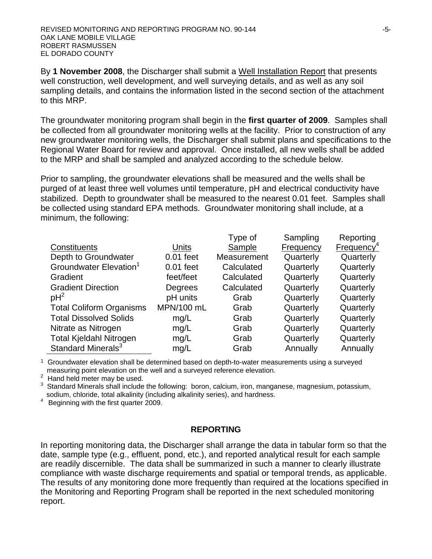REVISED MONITORING AND REPORTING PROGRAM NO. 90-144 OAK LANE MOBILE VILLAGE ROBERT RASMUSSEN EL DORADO COUNTY

By **1 November 2008**, the Discharger shall submit a Well Installation Report that presents well construction, well development, and well surveying details, and as well as any soil sampling details, and contains the information listed in the second section of the attachment to this MRP.

The groundwater monitoring program shall begin in the **first quarter of 2009**. Samples shall be collected from all groundwater monitoring wells at the facility. Prior to construction of any new groundwater monitoring wells, the Discharger shall submit plans and specifications to the Regional Water Board for review and approval. Once installed, all new wells shall be added to the MRP and shall be sampled and analyzed according to the schedule below.

Prior to sampling, the groundwater elevations shall be measured and the wells shall be purged of at least three well volumes until temperature, pH and electrical conductivity have stabilized. Depth to groundwater shall be measured to the nearest 0.01 feet. Samples shall be collected using standard EPA methods. Groundwater monitoring shall include, at a minimum, the following:

|                                    |              | Type of     | Sampling  | Reporting                 |
|------------------------------------|--------------|-------------|-----------|---------------------------|
| Constituents                       | <b>Units</b> | Sample      | Frequency | $F$ requency <sup>4</sup> |
| Depth to Groundwater               | $0.01$ feet  | Measurement | Quarterly | Quarterly                 |
| Groundwater Elevation <sup>1</sup> | $0.01$ feet  | Calculated  | Quarterly | Quarterly                 |
| Gradient                           | feet/feet    | Calculated  | Quarterly | Quarterly                 |
| <b>Gradient Direction</b>          | Degrees      | Calculated  | Quarterly | Quarterly                 |
| $pH^2$                             | pH units     | Grab        | Quarterly | Quarterly                 |
| <b>Total Coliform Organisms</b>    | MPN/100 mL   | Grab        | Quarterly | Quarterly                 |
| <b>Total Dissolved Solids</b>      | mg/L         | Grab        | Quarterly | Quarterly                 |
| Nitrate as Nitrogen                | mg/L         | Grab        | Quarterly | Quarterly                 |
| <b>Total Kjeldahl Nitrogen</b>     | mg/L         | Grab        | Quarterly | Quarterly                 |
| Standard Minerals <sup>3</sup>     | mg/L         | Grab        | Annually  | Annually                  |

<sup>1</sup> Groundwater elevation shall be determined based on depth-to-water measurements using a surveyed measuring point elevation on the well and a surveyed reference elevation.

<sup>2</sup> Hand held meter may be used.

 $3$  Standard Minerals shall include the following: boron, calcium, iron, manganese, magnesium, potassium, sodium, chloride, total alkalinity (including alkalinity series), and hardness.

4 Beginning with the first quarter 2009.

#### **REPORTING**

In reporting monitoring data, the Discharger shall arrange the data in tabular form so that the date, sample type (e.g., effluent, pond, etc.), and reported analytical result for each sample are readily discernible. The data shall be summarized in such a manner to clearly illustrate compliance with waste discharge requirements and spatial or temporal trends, as applicable. The results of any monitoring done more frequently than required at the locations specified in the Monitoring and Reporting Program shall be reported in the next scheduled monitoring report.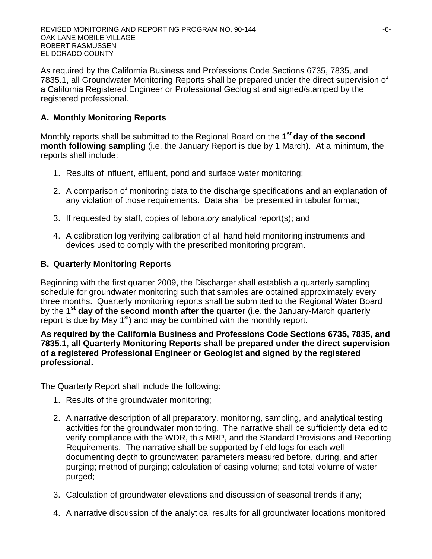As required by the California Business and Professions Code Sections 6735, 7835, and 7835.1, all Groundwater Monitoring Reports shall be prepared under the direct supervision of a California Registered Engineer or Professional Geologist and signed/stamped by the registered professional.

# **A. Monthly Monitoring Reports**

Monthly reports shall be submitted to the Regional Board on the **1st day of the second month following sampling** (i.e. the January Report is due by 1 March). At a minimum, the reports shall include:

- 1. Results of influent, effluent, pond and surface water monitoring;
- 2. A comparison of monitoring data to the discharge specifications and an explanation of any violation of those requirements. Data shall be presented in tabular format;
- 3. If requested by staff, copies of laboratory analytical report(s); and
- 4. A calibration log verifying calibration of all hand held monitoring instruments and devices used to comply with the prescribed monitoring program.

# **B. Quarterly Monitoring Reports**

Beginning with the first quarter 2009, the Discharger shall establish a quarterly sampling schedule for groundwater monitoring such that samples are obtained approximately every three months. Quarterly monitoring reports shall be submitted to the Regional Water Board by the **1st day of the second month after the quarter** (i.e. the January-March quarterly report is due by May 1<sup>st</sup>) and may be combined with the monthly report.

### **As required by the California Business and Professions Code Sections 6735, 7835, and 7835.1, all Quarterly Monitoring Reports shall be prepared under the direct supervision of a registered Professional Engineer or Geologist and signed by the registered professional.**

The Quarterly Report shall include the following:

- 1. Results of the groundwater monitoring;
- 2. A narrative description of all preparatory, monitoring, sampling, and analytical testing activities for the groundwater monitoring. The narrative shall be sufficiently detailed to verify compliance with the WDR, this MRP, and the Standard Provisions and Reporting Requirements. The narrative shall be supported by field logs for each well documenting depth to groundwater; parameters measured before, during, and after purging; method of purging; calculation of casing volume; and total volume of water purged;
- 3. Calculation of groundwater elevations and discussion of seasonal trends if any;
- 4. A narrative discussion of the analytical results for all groundwater locations monitored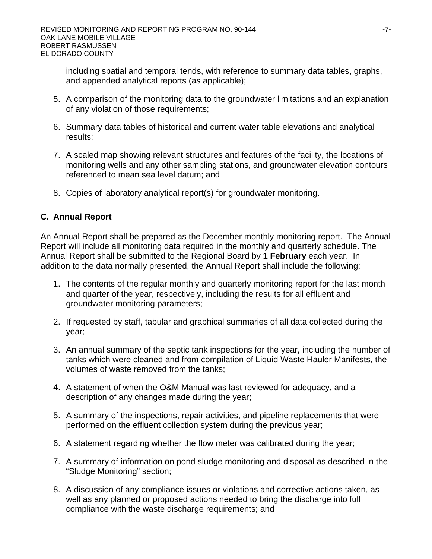including spatial and temporal tends, with reference to summary data tables, graphs, and appended analytical reports (as applicable);

- 5. A comparison of the monitoring data to the groundwater limitations and an explanation of any violation of those requirements;
- 6. Summary data tables of historical and current water table elevations and analytical results;
- 7. A scaled map showing relevant structures and features of the facility, the locations of monitoring wells and any other sampling stations, and groundwater elevation contours referenced to mean sea level datum; and
- 8. Copies of laboratory analytical report(s) for groundwater monitoring.

### **C. Annual Report**

An Annual Report shall be prepared as the December monthly monitoring report. The Annual Report will include all monitoring data required in the monthly and quarterly schedule. The Annual Report shall be submitted to the Regional Board by **1 February** each year. In addition to the data normally presented, the Annual Report shall include the following:

- 1. The contents of the regular monthly and quarterly monitoring report for the last month and quarter of the year, respectively, including the results for all effluent and groundwater monitoring parameters;
- 2. If requested by staff, tabular and graphical summaries of all data collected during the year;
- 3. An annual summary of the septic tank inspections for the year, including the number of tanks which were cleaned and from compilation of Liquid Waste Hauler Manifests, the volumes of waste removed from the tanks;
- 4. A statement of when the O&M Manual was last reviewed for adequacy, and a description of any changes made during the year;
- 5. A summary of the inspections, repair activities, and pipeline replacements that were performed on the effluent collection system during the previous year;
- 6. A statement regarding whether the flow meter was calibrated during the year;
- 7. A summary of information on pond sludge monitoring and disposal as described in the "Sludge Monitoring" section;
- 8. A discussion of any compliance issues or violations and corrective actions taken, as well as any planned or proposed actions needed to bring the discharge into full compliance with the waste discharge requirements; and